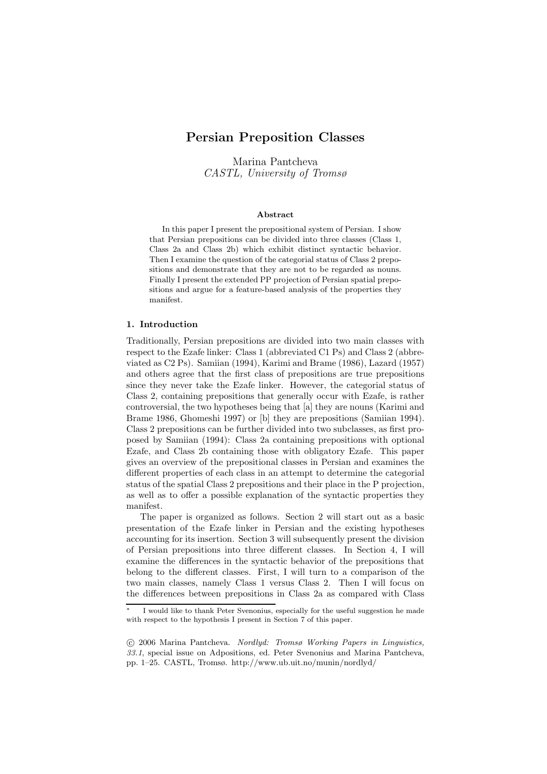Marina Pantcheva CASTL, University of Tromsø

### Abstract

In this paper I present the prepositional system of Persian. I show that Persian prepositions can be divided into three classes (Class 1, Class 2a and Class 2b) which exhibit distinct syntactic behavior. Then I examine the question of the categorial status of Class 2 prepositions and demonstrate that they are not to be regarded as nouns. Finally I present the extended PP projection of Persian spatial prepositions and argue for a feature-based analysis of the properties they manifest.

#### 1. Introduction

Traditionally, Persian prepositions are divided into two main classes with respect to the Ezafe linker: Class 1 (abbreviated C1 Ps) and Class 2 (abbreviated as C2 Ps). Samiian (1994), Karimi and Brame (1986), Lazard (1957) and others agree that the first class of prepositions are true prepositions since they never take the Ezafe linker. However, the categorial status of Class 2, containing prepositions that generally occur with Ezafe, is rather controversial, the two hypotheses being that [a] they are nouns (Karimi and Brame 1986, Ghomeshi 1997) or [b] they are prepositions (Samiian 1994). Class 2 prepositions can be further divided into two subclasses, as first proposed by Samiian (1994): Class 2a containing prepositions with optional Ezafe, and Class 2b containing those with obligatory Ezafe. This paper gives an overview of the prepositional classes in Persian and examines the different properties of each class in an attempt to determine the categorial status of the spatial Class 2 prepositions and their place in the P projection, as well as to offer a possible explanation of the syntactic properties they manifest.

The paper is organized as follows. Section 2 will start out as a basic presentation of the Ezafe linker in Persian and the existing hypotheses accounting for its insertion. Section 3 will subsequently present the division of Persian prepositions into three different classes. In Section 4, I will examine the differences in the syntactic behavior of the prepositions that belong to the different classes. First, I will turn to a comparison of the two main classes, namely Class 1 versus Class 2. Then I will focus on the differences between prepositions in Class 2a as compared with Class

I would like to thank Peter Svenonius, especially for the useful suggestion he made with respect to the hypothesis I present in Section 7 of this paper.

c 2006 Marina Pantcheva. Nordlyd: Tromsø Working Papers in Linguistics, 33.1, special issue on Adpositions, ed. Peter Svenonius and Marina Pantcheva, pp. 1–25. CASTL, Tromsø. http://www.ub.uit.no/munin/nordlyd/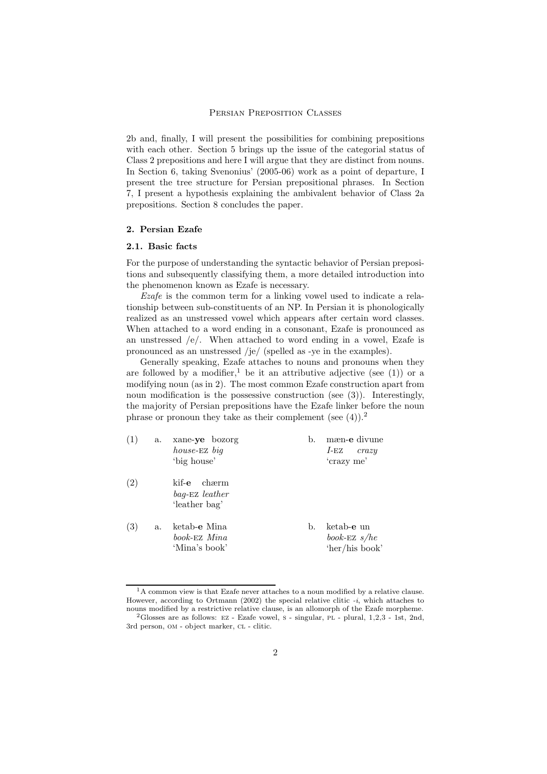2b and, finally, I will present the possibilities for combining prepositions with each other. Section 5 brings up the issue of the categorial status of Class 2 prepositions and here I will argue that they are distinct from nouns. In Section 6, taking Svenonius' (2005-06) work as a point of departure, I present the tree structure for Persian prepositional phrases. In Section 7, I present a hypothesis explaining the ambivalent behavior of Class 2a prepositions. Section 8 concludes the paper.

### 2. Persian Ezafe

# 2.1. Basic facts

For the purpose of understanding the syntactic behavior of Persian prepositions and subsequently classifying them, a more detailed introduction into the phenomenon known as Ezafe is necessary.

Ezafe is the common term for a linking vowel used to indicate a relationship between sub-constituents of an NP. In Persian it is phonologically realized as an unstressed vowel which appears after certain word classes. When attached to a word ending in a consonant, Ezafe is pronounced as an unstressed /e/. When attached to word ending in a vowel, Ezafe is pronounced as an unstressed /je/ (spelled as -ye in the examples).

Generally speaking, Ezafe attaches to nouns and pronouns when they are followed by a modifier,<sup>1</sup> be it an attributive adjective (see  $(1)$ ) or a modifying noun (as in 2). The most common Ezafe construction apart from noun modification is the possessive construction (see  $(3)$ ). Interestingly, the majority of Persian prepositions have the Ezafe linker before the noun phrase or pronoun they take as their complement (see  $(4)$ ).<sup>2</sup>

| (1) | a. | xane-ye bozorg<br>house-EZ big<br>'big house'     | b. | mæn-e divune<br>l-EZ<br>crazy<br>'crazy me'    |
|-----|----|---------------------------------------------------|----|------------------------------------------------|
| (2) |    | kif-e<br>chærm<br>bag-EZ leather<br>'leather bag' |    |                                                |
| (3) | a. | ketab-e Mina<br>book-EZ Mina<br>'Mina's book'     | b. | ketab-e un<br>book-EZ $s/he$<br>'her/his book' |

 $1_A$  common view is that Ezafe never attaches to a noun modified by a relative clause. However, according to Ortmann  $(2002)$  the special relative clitic  $-i$ , which attaches to nouns modified by a restrictive relative clause, is an allomorph of the Ezafe morpheme.

 $2G$ losses are as follows: Ez - Ezafe vowel, s - singular, PL - plural,  $1,2,3$  - 1st,  $2nd$ , 3rd person, OM - object marker, CL - clitic.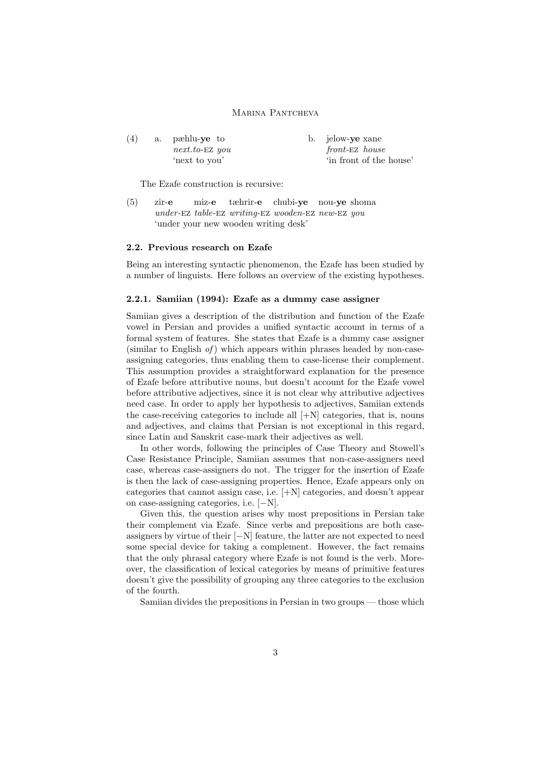| b. jelow-ye xane        |
|-------------------------|
| front-EZ house          |
| 'in front of the house' |
|                         |

The Ezafe construction is recursive:

 $(5)$  zir-e under-EZ table-EZ writing-EZ wooden-EZ new-EZ you miz-e tæhrir-e chubi-ye nou-ye shoma 'under your new wooden writing desk'

### 2.2. Previous research on Ezafe

Being an interesting syntactic phenomenon, the Ezafe has been studied by a number of linguists. Here follows an overview of the existing hypotheses.

### 2.2.1. Samiian (1994): Ezafe as a dummy case assigner

Samiian gives a description of the distribution and function of the Ezafe vowel in Persian and provides a unified syntactic account in terms of a formal system of features. She states that Ezafe is a dummy case assigner (similar to English  $of$ ) which appears within phrases headed by non-caseassigning categories, thus enabling them to case-license their complement. This assumption provides a straightforward explanation for the presence of Ezafe before attributive nouns, but doesn't account for the Ezafe vowel before attributive adjectives, since it is not clear why attributive adjectives need case. In order to apply her hypothesis to adjectives, Samiian extends the case-receiving categories to include all  $[+N]$  categories, that is, nouns and adjectives, and claims that Persian is not exceptional in this regard, since Latin and Sanskrit case-mark their adjectives as well.

In other words, following the principles of Case Theory and Stowell's Case Resistance Principle, Samiian assumes that non-case-assigners need case, whereas case-assigners do not. The trigger for the insertion of Ezafe is then the lack of case-assigning properties. Hence, Ezafe appears only on categories that cannot assign case, i.e. [+N] categories, and doesn't appear on case-assigning categories, i.e. [−N].

Given this, the question arises why most prepositions in Persian take their complement via Ezafe. Since verbs and prepositions are both caseassigners by virtue of their [−N] feature, the latter are not expected to need some special device for taking a complement. However, the fact remains that the only phrasal category where Ezafe is not found is the verb. Moreover, the classification of lexical categories by means of primitive features doesn't give the possibility of grouping any three categories to the exclusion of the fourth.

Samiian divides the prepositions in Persian in two groups — those which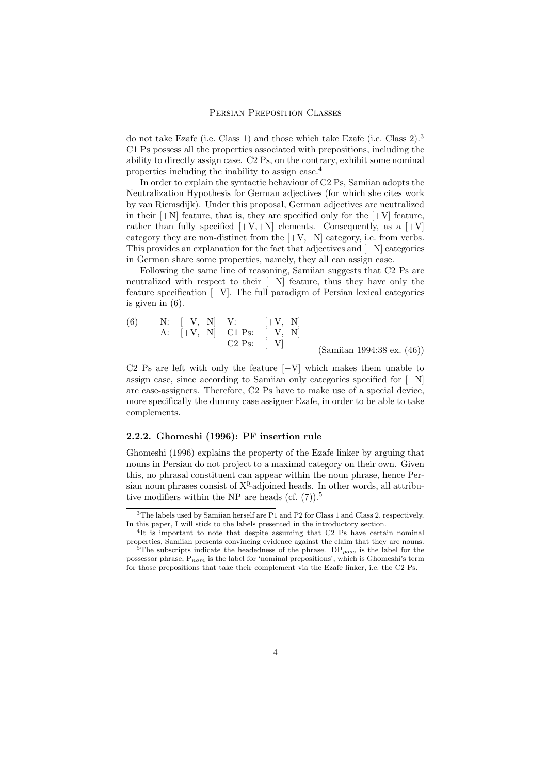do not take Ezafe (i.e. Class 1) and those which take Ezafe (i.e. Class 2).<sup>3</sup> C1 Ps possess all the properties associated with prepositions, including the ability to directly assign case. C2 Ps, on the contrary, exhibit some nominal properties including the inability to assign case.<sup>4</sup>

In order to explain the syntactic behaviour of C2 Ps, Samiian adopts the Neutralization Hypothesis for German adjectives (for which she cites work by van Riemsdijk). Under this proposal, German adjectives are neutralized in their  $[+N]$  feature, that is, they are specified only for the  $[+V]$  feature, rather than fully specified  $[+V,+N]$  elements. Consequently, as a  $[+V]$ category they are non-distinct from the  $[+V,-N]$  category, i.e. from verbs. This provides an explanation for the fact that adjectives and [−N] categories in German share some properties, namely, they all can assign case.

Following the same line of reasoning, Samiian suggests that C2 Ps are neutralized with respect to their [−N] feature, thus they have only the feature specification [−V]. The full paradigm of Persian lexical categories is given in (6).

(6) N: 
$$
[-V,+N]
$$
 V:  $[-V,-N]$   
A:  $[-V,+N]$  C1 Ps:  $[-V,-N]$   
C2 Ps:  $[-V]$  (Samiian 1994:38 ex. (46))

C2 Ps are left with only the feature  $[-V]$  which makes them unable to assign case, since according to Samiian only categories specified for [−N] are case-assigners. Therefore, C2 Ps have to make use of a special device, more specifically the dummy case assigner Ezafe, in order to be able to take complements.

# 2.2.2. Ghomeshi (1996): PF insertion rule

Ghomeshi (1996) explains the property of the Ezafe linker by arguing that nouns in Persian do not project to a maximal category on their own. Given this, no phrasal constituent can appear within the noun phrase, hence Persian noun phrases consist of  $X^0$ -adjoined heads. In other words, all attributive modifiers within the NP are heads (cf.  $(7)$ ).<sup>5</sup>

<sup>3</sup>The labels used by Samiian herself are P1 and P2 for Class 1 and Class 2, respectively. In this paper, I will stick to the labels presented in the introductory section.

<sup>&</sup>lt;sup>4</sup>It is important to note that despite assuming that C2 Ps have certain nominal properties, Samiian presents convincing evidence against the claim that they are nouns.  $5$ The subscripts indicate the headedness of the phrase. DP<sub>poss</sub> is the label for the possessor phrase,  $P_{nom}$  is the label for 'nominal prepositions', which is Ghomeshi's term for those prepositions that take their complement via the Ezafe linker, i.e. the C2 Ps.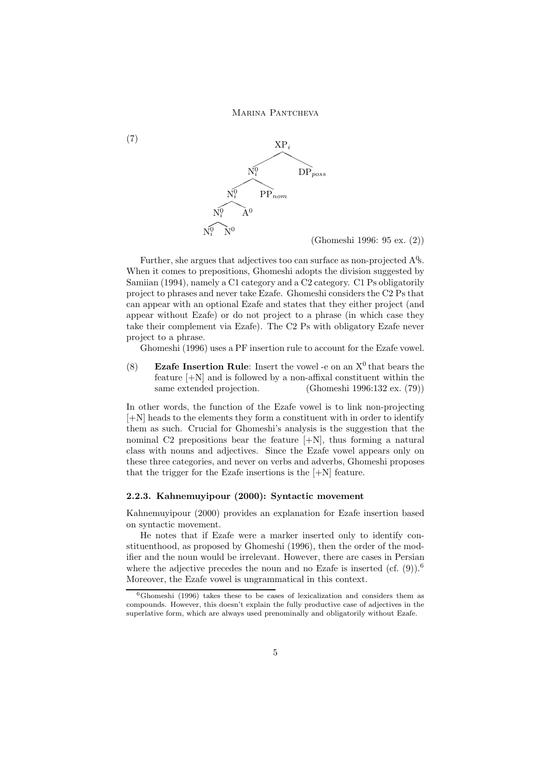(7)



(Ghomeshi 1996: 95 ex. (2))

Further, she argues that adjectives too can surface as non-projected A<sup>Q</sup>s. When it comes to prepositions, Ghomeshi adopts the division suggested by Samiian (1994), namely a C1 category and a C2 category. C1 Ps obligatorily project to phrases and never take Ezafe. Ghomeshi considers the C2 Ps that can appear with an optional Ezafe and states that they either project (and appear without Ezafe) or do not project to a phrase (in which case they take their complement via Ezafe). The C2 Ps with obligatory Ezafe never project to a phrase.

Ghomeshi (1996) uses a PF insertion rule to account for the Ezafe vowel.

(8) Ezafe Insertion Rule: Insert the vowel -e on an  $X^0$  that bears the feature  $[+N]$  and is followed by a non-affixal constituent within the same extended projection. (Ghomeshi 1996:132 ex. (79))

In other words, the function of the Ezafe vowel is to link non-projecting [+N] heads to the elements they form a constituent with in order to identify them as such. Crucial for Ghomeshi's analysis is the suggestion that the nominal C2 prepositions bear the feature [+N], thus forming a natural class with nouns and adjectives. Since the Ezafe vowel appears only on these three categories, and never on verbs and adverbs, Ghomeshi proposes that the trigger for the Ezafe insertions is the [+N] feature.

# 2.2.3. Kahnemuyipour (2000): Syntactic movement

Kahnemuyipour (2000) provides an explanation for Ezafe insertion based on syntactic movement.

He notes that if Ezafe were a marker inserted only to identify constituenthood, as proposed by Ghomeshi (1996), then the order of the modifier and the noun would be irrelevant. However, there are cases in Persian where the adjective precedes the noun and no Ezafe is inserted (cf.  $(9)$ ).<sup>6</sup> Moreover, the Ezafe vowel is ungrammatical in this context.

 ${}^{6}$ Ghomeshi (1996) takes these to be cases of lexicalization and considers them as compounds. However, this doesn't explain the fully productive case of adjectives in the superlative form, which are always used prenominally and obligatorily without Ezafe.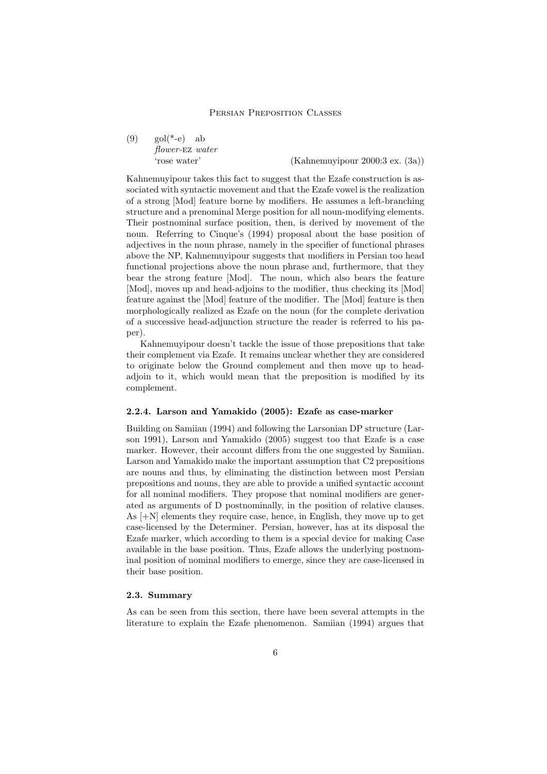$(9)$  gol(\*-e) ab flower-ez water

'rose water' (Kahnemuyipour 2000:3 ex. (3a))

Kahnemuyipour takes this fact to suggest that the Ezafe construction is associated with syntactic movement and that the Ezafe vowel is the realization of a strong [Mod] feature borne by modifiers. He assumes a left-branching structure and a prenominal Merge position for all noun-modifying elements. Their postnominal surface position, then, is derived by movement of the noun. Referring to Cinque's (1994) proposal about the base position of adjectives in the noun phrase, namely in the specifier of functional phrases above the NP, Kahnemuyipour suggests that modifiers in Persian too head functional projections above the noun phrase and, furthermore, that they bear the strong feature [Mod]. The noun, which also bears the feature [Mod], moves up and head-adjoins to the modifier, thus checking its [Mod] feature against the [Mod] feature of the modifier. The [Mod] feature is then morphologically realized as Ezafe on the noun (for the complete derivation of a successive head-adjunction structure the reader is referred to his paper).

Kahnemuyipour doesn't tackle the issue of those prepositions that take their complement via Ezafe. It remains unclear whether they are considered to originate below the Ground complement and then move up to headadjoin to it, which would mean that the preposition is modified by its complement.

# 2.2.4. Larson and Yamakido (2005): Ezafe as case-marker

Building on Samiian (1994) and following the Larsonian DP structure (Larson 1991), Larson and Yamakido (2005) suggest too that Ezafe is a case marker. However, their account differs from the one suggested by Samiian. Larson and Yamakido make the important assumption that C2 prepositions are nouns and thus, by eliminating the distinction between most Persian prepositions and nouns, they are able to provide a unified syntactic account for all nominal modifiers. They propose that nominal modifiers are generated as arguments of D postnominally, in the position of relative clauses. As [+N] elements they require case, hence, in English, they move up to get case-licensed by the Determiner. Persian, however, has at its disposal the Ezafe marker, which according to them is a special device for making Case available in the base position. Thus, Ezafe allows the underlying postnominal position of nominal modifiers to emerge, since they are case-licensed in their base position.

### 2.3. Summary

As can be seen from this section, there have been several attempts in the literature to explain the Ezafe phenomenon. Samiian (1994) argues that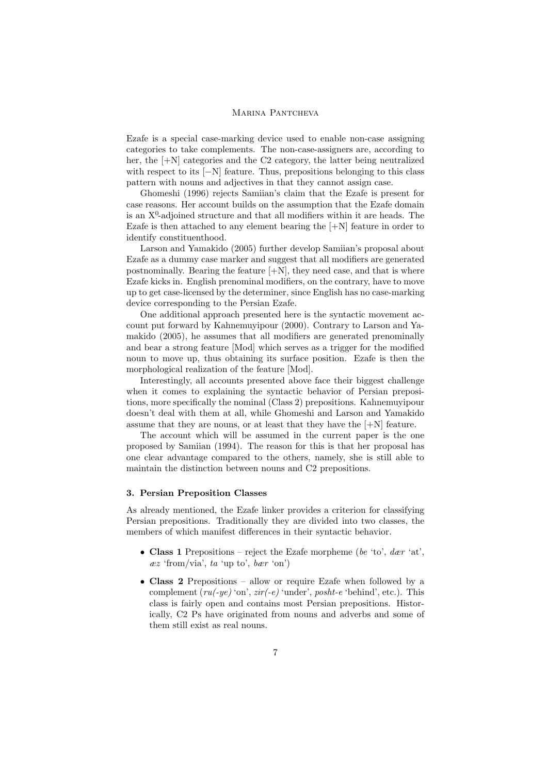Ezafe is a special case-marking device used to enable non-case assigning categories to take complements. The non-case-assigners are, according to her, the  $[+N]$  categories and the C2 category, the latter being neutralized with respect to its [−N] feature. Thus, prepositions belonging to this class pattern with nouns and adjectives in that they cannot assign case.

Ghomeshi (1996) rejects Samiian's claim that the Ezafe is present for case reasons. Her account builds on the assumption that the Ezafe domain is an  $X^0$ -adjoined structure and that all modifiers within it are heads. The Ezafe is then attached to any element bearing the [+N] feature in order to identify constituenthood.

Larson and Yamakido (2005) further develop Samiian's proposal about Ezafe as a dummy case marker and suggest that all modifiers are generated postnominally. Bearing the feature  $[+N]$ , they need case, and that is where Ezafe kicks in. English prenominal modifiers, on the contrary, have to move up to get case-licensed by the determiner, since English has no case-marking device corresponding to the Persian Ezafe.

One additional approach presented here is the syntactic movement account put forward by Kahnemuyipour (2000). Contrary to Larson and Yamakido (2005), he assumes that all modifiers are generated prenominally and bear a strong feature [Mod] which serves as a trigger for the modified noun to move up, thus obtaining its surface position. Ezafe is then the morphological realization of the feature [Mod].

Interestingly, all accounts presented above face their biggest challenge when it comes to explaining the syntactic behavior of Persian prepositions, more specifically the nominal (Class 2) prepositions. Kahnemuyipour doesn't deal with them at all, while Ghomeshi and Larson and Yamakido assume that they are nouns, or at least that they have the  $[+N]$  feature.

The account which will be assumed in the current paper is the one proposed by Samiian (1994). The reason for this is that her proposal has one clear advantage compared to the others, namely, she is still able to maintain the distinction between nouns and C2 prepositions.

### 3. Persian Preposition Classes

As already mentioned, the Ezafe linker provides a criterion for classifying Persian prepositions. Traditionally they are divided into two classes, the members of which manifest differences in their syntactic behavior.

- Class 1 Prepositions reject the Ezafe morpheme (be 'to',  $der$  'at',  $ez$  'from/via', ta 'up to', bær 'on')
- Class 2 Prepositions allow or require Ezafe when followed by a complement  $(ru(-ye)$  'on',  $zir(-e)$  'under', posht-e 'behind', etc.). This class is fairly open and contains most Persian prepositions. Historically, C2 Ps have originated from nouns and adverbs and some of them still exist as real nouns.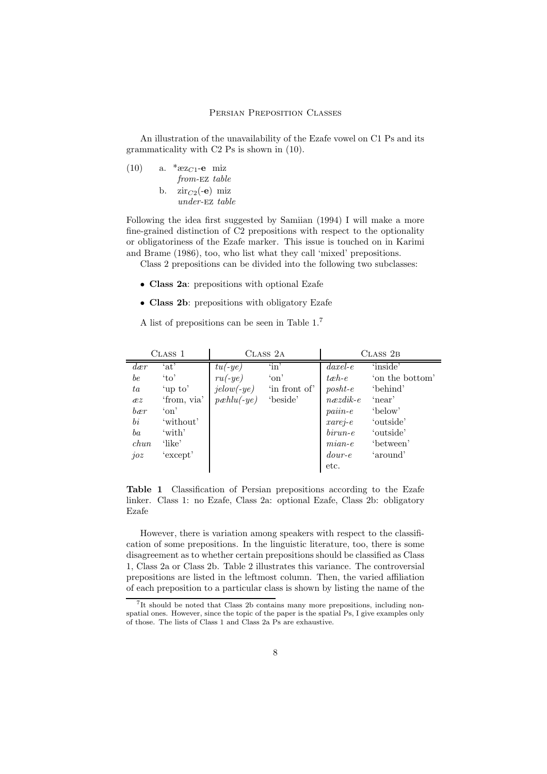An illustration of the unavailability of the Ezafe vowel on C1 Ps and its grammaticality with C2 Ps is shown in (10).

(10) a. \* $\exp(-e)$  miz from-Ez table b.  $\operatorname{zir}_{C2}(-e)$  miz under-ez table

Following the idea first suggested by Samiian (1994) I will make a more fine-grained distinction of C2 prepositions with respect to the optionality or obligatoriness of the Ezafe marker. This issue is touched on in Karimi and Brame (1986), too, who list what they call 'mixed' prepositions.

Class 2 prepositions can be divided into the following two subclasses:

- Class 2a: prepositions with optional Ezafe
- Class 2b: prepositions with obligatory Ezafe

A list of prepositions can be seen in Table 1.<sup>7</sup>

| CLASS 1           |             | CLASS 2A     |               | CLASS 2B                 |                 |
|-------------------|-------------|--------------|---------------|--------------------------|-----------------|
| $d_{\mathcal{C}}$ | 'at'        | $tu(-ye)$    | $\sin$        | $\emph{daxel-e}$         | 'inside'        |
| be                | $\alpha$    | $ru(-ye)$    | $\gamma$ on   | $t$ <i>eh</i> -e         | 'on the bottom' |
| ta                | 'up to'     | $jelow(-ye)$ | 'in front of' | $\textit{post}$          | 'behind'        |
| xz                | 'from, via' | $pæhlu(-ye)$ | 'beside'      | $n \neq z \neq i \neq e$ | 'near'          |
| bær               | $\gamma$ on |              |               | $pair - e$               | 'below'         |
| $\,bi\,$          | 'without'   |              |               | $xarej-e$                | 'outside'       |
| ba                | 'with'      |              |               | $birun-e$                | 'outside'       |
| chun              | 'like'      |              |               | $mian-e$                 | 'between'       |
| joz               | 'except'    |              |               | $down-e$                 | 'around'        |
|                   |             |              |               | etc.                     |                 |

Table 1 Classification of Persian prepositions according to the Ezafe linker. Class 1: no Ezafe, Class 2a: optional Ezafe, Class 2b: obligatory Ezafe

However, there is variation among speakers with respect to the classification of some prepositions. In the linguistic literature, too, there is some disagreement as to whether certain prepositions should be classified as Class 1, Class 2a or Class 2b. Table 2 illustrates this variance. The controversial prepositions are listed in the leftmost column. Then, the varied affiliation of each preposition to a particular class is shown by listing the name of the

<sup>7</sup> It should be noted that Class 2b contains many more prepositions, including nonspatial ones. However, since the topic of the paper is the spatial Ps, I give examples only of those. The lists of Class 1 and Class 2a Ps are exhaustive.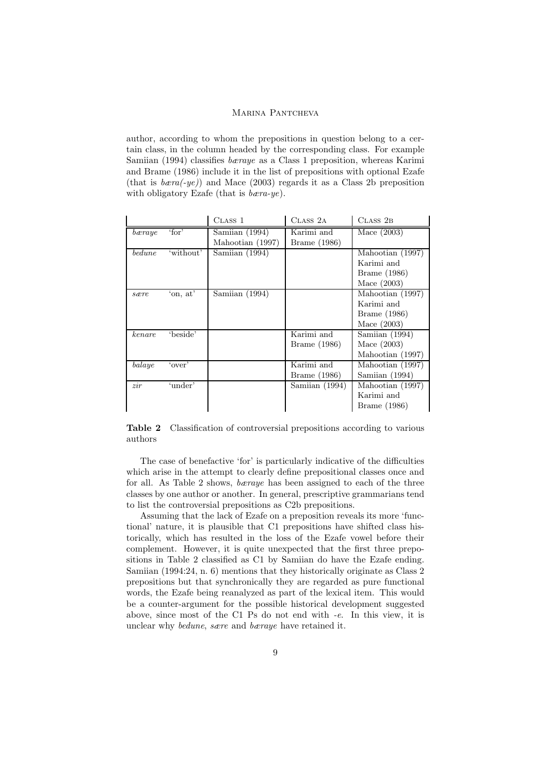author, according to whom the prepositions in question belong to a certain class, in the column headed by the corresponding class. For example Samiian (1994) classifies bæraye as a Class 1 preposition, whereas Karimi and Brame (1986) include it in the list of prepositions with optional Ezafe (that is  $bar(a - y e)$ ) and Mace (2003) regards it as a Class 2b preposition with obligatory Ezafe (that is *bæra-ye*).

|        |                 | CLASS <sub>1</sub>                                     | CLASS 2A                   | CLASS 2B                                                        |
|--------|-----------------|--------------------------------------------------------|----------------------------|-----------------------------------------------------------------|
| bæraye | $\lq$ for $\lq$ | $\overline{\text{Samlian}}$ (1994)<br>Mahootian (1997) | Karimi and<br>Brame (1986) | Mace $(2003)$                                                   |
| bedune | 'without'       | Samiian (1994)                                         |                            | Mahootian (1997)<br>Karimi and<br>Brame (1986)<br>Mace $(2003)$ |
| sære   | 'on, at'        | Samiian (1994)                                         |                            | Mahootian (1997)<br>Karimi and<br>Brame (1986)<br>Mace $(2003)$ |
| kenare | 'beside'        |                                                        | Karimi and<br>Brame (1986) | Samiian (1994)<br>Mace $(2003)$<br>Mahootian (1997)             |
| balaye | 'over'          |                                                        | Karimi and<br>Brame (1986) | Mahootian (1997)<br>Samiian (1994)                              |
| zir    | 'under'         |                                                        | Samiian (1994)             | Mahootian (1997)<br>Karimi and<br>Brame (1986)                  |

Table 2 Classification of controversial prepositions according to various authors

The case of benefactive 'for' is particularly indicative of the difficulties which arise in the attempt to clearly define prepositional classes once and for all. As Table 2 shows, bæraye has been assigned to each of the three classes by one author or another. In general, prescriptive grammarians tend to list the controversial prepositions as C2b prepositions.

Assuming that the lack of Ezafe on a preposition reveals its more 'functional' nature, it is plausible that C1 prepositions have shifted class historically, which has resulted in the loss of the Ezafe vowel before their complement. However, it is quite unexpected that the first three prepositions in Table 2 classified as C1 by Samiian do have the Ezafe ending. Samiian (1994:24, n. 6) mentions that they historically originate as Class 2 prepositions but that synchronically they are regarded as pure functional words, the Ezafe being reanalyzed as part of the lexical item. This would be a counter-argument for the possible historical development suggested above, since most of the C1 Ps do not end with -e. In this view, it is unclear why bedune, sære and bæraye have retained it.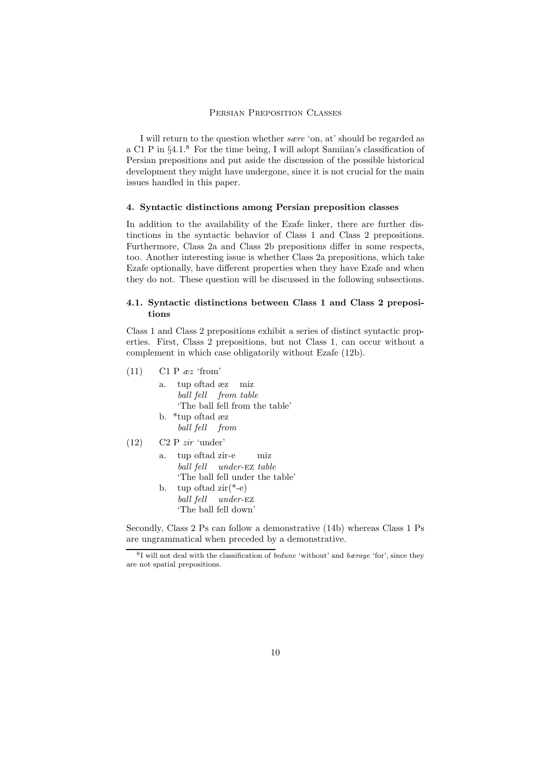I will return to the question whether sære 'on, at' should be regarded as a C1 P in  $\S 4.1$ .<sup>8</sup> For the time being, I will adopt Samilan's classification of Persian prepositions and put aside the discussion of the possible historical development they might have undergone, since it is not crucial for the main issues handled in this paper.

# 4. Syntactic distinctions among Persian preposition classes

In addition to the availability of the Ezafe linker, there are further distinctions in the syntactic behavior of Class 1 and Class 2 prepositions. Furthermore, Class 2a and Class 2b prepositions differ in some respects, too. Another interesting issue is whether Class 2a prepositions, which take Ezafe optionally, have different properties when they have Ezafe and when they do not. These question will be discussed in the following subsections.

# 4.1. Syntactic distinctions between Class 1 and Class 2 prepositions

Class 1 and Class 2 prepositions exhibit a series of distinct syntactic properties. First, Class 2 prepositions, but not Class 1, can occur without a complement in which case obligatorily without Ezafe (12b).

- $(11)$  C1 P  $\mathscr{E}z$  'from'
	- a. tup oftad æz miz ball fell from table 'The ball fell from the table' b. \*tup oftad æz ball fell from
- $(12)$  C2 P *zir* 'under'
	- a. tup oftad zir-e ball fell under-ez table miz 'The ball fell under the table' b. tup oftad zir(\*-e) ball fell under-ez
		- 'The ball fell down'

Secondly, Class 2 Ps can follow a demonstrative (14b) whereas Class 1 Ps are ungrammatical when preceded by a demonstrative.

<sup>&</sup>lt;sup>8</sup>I will not deal with the classification of *bedune* 'without' and *bæraye* 'for', since they are not spatial prepositions.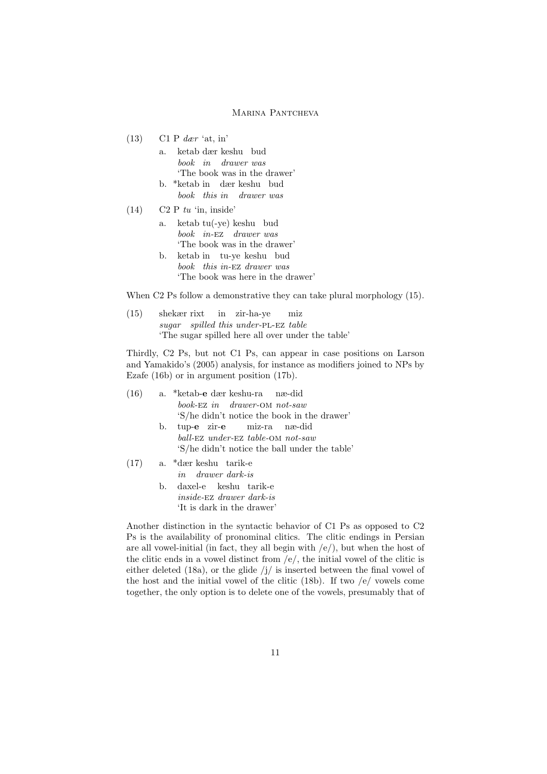$(13)$  C1 P dær 'at, in'

| a. ketab dær keshu bud      |  |  |  |  |
|-----------------------------|--|--|--|--|
| book in drawer was          |  |  |  |  |
| The book was in the drawer' |  |  |  |  |
|                             |  |  |  |  |

- b. \*ketab in dær keshu bud book this in drawer was
- $(14)$  C2 P tu 'in, inside'
	- a. ketab tu(-ye) keshu bud book in-ez drawer was 'The book was in the drawer'
	- b. ketab in tu-ye keshu bud book this in-ez drawer was 'The book was here in the drawer'

When C2 Ps follow a demonstrative they can take plural morphology (15).

(15) shekær rixt sugar spilled this under-PL-EZ table in zir-ha-ye miz 'The sugar spilled here all over under the table'

Thirdly, C2 Ps, but not C1 Ps, can appear in case positions on Larson and Yamakido's (2005) analysis, for instance as modifiers joined to NPs by Ezafe (16b) or in argument position (17b).

| (16) |    | a. *ketab-e dær keshu-ra næ-did               |
|------|----|-----------------------------------------------|
|      |    | book-EZ in drawer-OM not-saw                  |
|      |    | 'S/he didn't notice the book in the drawer'   |
|      | b. | tup-e zir-e miz-ra næ-did                     |
|      |    | ball-EZ under-EZ table-OM not-saw             |
|      |    | 'S/he didn't notice the ball under the table' |
| (17) |    | a. *dær keshu tarik-e                         |
|      |    | <i>in</i> drawer dark-is                      |
|      | b. | daxel-e keshu tarik-e                         |
|      |    | <i>inside-EZ drawer dark-is</i>               |
|      |    | 'It is dark in the drawer'                    |

Another distinction in the syntactic behavior of C1 Ps as opposed to C2 Ps is the availability of pronominal clitics. The clitic endings in Persian are all vowel-initial (in fact, they all begin with  $\langle e \rangle$ ), but when the host of the clitic ends in a vowel distinct from /e/, the initial vowel of the clitic is either deleted (18a), or the glide  $\frac{1}{i}$  is inserted between the final vowel of the host and the initial vowel of the clitic (18b). If two /e/ vowels come together, the only option is to delete one of the vowels, presumably that of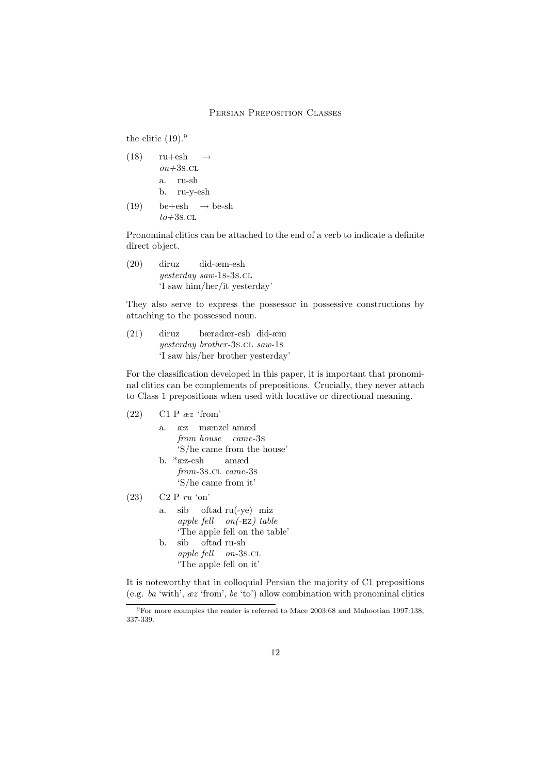the clitic  $(19).<sup>9</sup>$ 

- $(18)$  ru+esh  $on+3s$ .cl.  $\rightarrow$ a. ru-sh b. ru-y-esh
- $(19)$  be  $+\text{esh}$  $to+3s$ .cl  $\rightarrow$ be-sh

Pronominal clitics can be attached to the end of a verb to indicate a definite direct object.

(20) diruz yesterday saw-1s-3s.cl did-æm-esh 'I saw him/her/it yesterday'

They also serve to express the possessor in possessive constructions by attaching to the possessed noun.

(21) diruz yesterday brother-3s.cl saw-1s bæradær-esh did-æm 'I saw his/her brother yesterday'

For the classification developed in this paper, it is important that pronominal clitics can be complements of prepositions. Crucially, they never attach to Class 1 prepositions when used with locative or directional meaning.

| (22) | C1 P $\mathit{ez}'$ from'       |
|------|---------------------------------|
|      | a. æz mænzel amæd               |
|      | from house came-3s              |
|      | 'S/he came from the house'      |
|      | b. *æz-esh amæd                 |
|      | from-3s.cl came-3s              |
|      | 'S/he came from it'             |
| (23) | $C2 P r u$ 'on'                 |
|      | $sib$ oftad $ru(-ye)$ miz<br>a. |
|      | apple fell $on(-EZ) table$      |
|      | 'The apple fell on the table'   |
|      | b. sib oftad ru-sh              |
|      | apple fell on-3s.cl             |
|      | 'The apple fell on it'          |
|      |                                 |

It is noteworthy that in colloquial Persian the majority of C1 prepositions (e.g. ba 'with', æz 'from', be 'to') allow combination with pronominal clitics

<sup>9</sup>For more examples the reader is referred to Mace 2003:68 and Mahootian 1997:138, 337-339.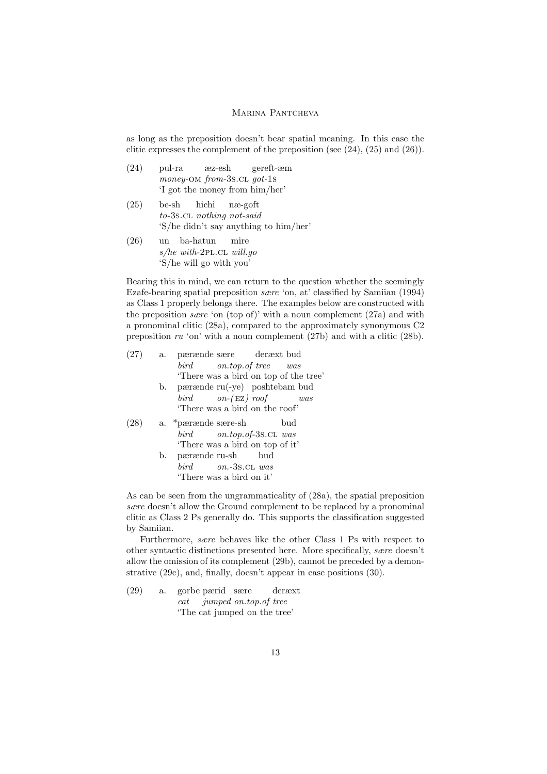as long as the preposition doesn't bear spatial meaning. In this case the clitic expresses the complement of the preposition (see  $(24)$ ,  $(25)$  and  $(26)$ ).

| (24) | pul-ra | æz-esh                         | gereft-æm |
|------|--------|--------------------------------|-----------|
|      |        | money-OM from-3s.CL got-1s     |           |
|      |        | 'I got the money from him/her' |           |

- $(25)$  be-sh to-3s.cl nothing not-said hichi næ-goft 'S/he didn't say anything to him/her'
- $(26)$ s/he with-2PL.CL will.go ba-hatun mire 'S/he will go with you'

Bearing this in mind, we can return to the question whether the seemingly Ezafe-bearing spatial preposition sære 'on, at' classified by Samiian (1994) as Class 1 properly belongs there. The examples below are constructed with the preposition *sare* 'on (top of)' with a noun complement  $(27a)$  and with a pronominal clitic (28a), compared to the approximately synonymous C2 preposition ru 'on' with a noun complement (27b) and with a clitic (28b).

| (27) | a. pærænde sære deræxt bud           |
|------|--------------------------------------|
|      | bird on.top.of tree was              |
|      | There was a bird on top of the tree' |
|      | b. pærænde ru(-ye) poshtebam bud     |
|      | bird $on-(EZ)$ roof<br>was           |
|      | 'There was a bird on the roof'       |
|      | a. *pærænde sære-sh<br>bud           |
|      | bird on.top.of-3s.cl was             |
|      | There was a bird on top of it'       |
|      | b. pærænde ru-sh bud                 |
|      | $bird$ $on.-3s$ .CL was              |
|      | 'There was a bird on it'             |
|      |                                      |

As can be seen from the ungrammaticality of (28a), the spatial preposition sære doesn't allow the Ground complement to be replaced by a pronominal clitic as Class 2 Ps generally do. This supports the classification suggested by Samiian.

Furthermore, sære behaves like the other Class 1 Ps with respect to other syntactic distinctions presented here. More specifically, sære doesn't allow the omission of its complement (29b), cannot be preceded by a demonstrative (29c), and, finally, doesn't appear in case positions (30).

(29) a. gorbe pærid sære cat jumped on.top.of tree deræxt 'The cat jumped on the tree'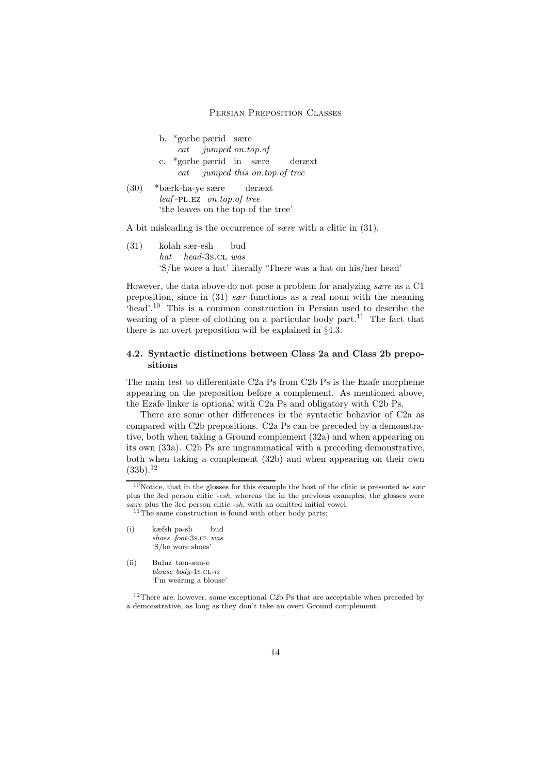|      | b. *gorbe pærid sære<br>$cat$ jumped on.top.of                   |
|------|------------------------------------------------------------------|
|      | c. *gorbe pærid in sære deræxt<br>cat jumped this on.top.of tree |
| (30) | *bærk-ha-ye sære deræxt                                          |
|      | leaf-PL.EZ on.top.of tree                                        |

'the leaves on the top of the tree'

A bit misleading is the occurrence of sære with a clitic in (31).

(31) kolah sær-esh hat head-3s.cl was bud 'S/he wore a hat' literally 'There was a hat on his/her head'

However, the data above do not pose a problem for analyzing sære as a C1 preposition, since in (31) sær functions as a real noun with the meaning 'head'.<sup>10</sup> This is a common construction in Persian used to describe the wearing of a piece of clothing on a particular body part.<sup>11</sup> The fact that there is no overt preposition will be explained in §4.3.

# 4.2. Syntactic distinctions between Class 2a and Class 2b prepositions

The main test to differentiate C2a Ps from C2b Ps is the Ezafe morpheme appearing on the preposition before a complement. As mentioned above, the Ezafe linker is optional with C2a Ps and obligatory with C2b Ps.

There are some other differences in the syntactic behavior of C2a as compared with C2b prepositions. C2a Ps can be preceded by a demonstrative, both when taking a Ground complement (32a) and when appearing on its own (33a). C2b Ps are ungrammatical with a preceding demonstrative, both when taking a complement (32b) and when appearing on their own  $(33b).<sup>12</sup>$ 

| $\rm(i)$ | kæfsh pa-sh |                      | bud |
|----------|-------------|----------------------|-----|
|          |             | shoes foot-3s.cl was |     |
|          |             | 'S/he wore shoes'    |     |
|          |             |                      |     |

(ii) Buluz tæn-æm-e blouse body-1s.cL-is 'I'm wearing a blouse'

<sup>&</sup>lt;sup>10</sup>Notice, that in the glosses for this example the host of the clitic is presented as  $sær$ plus the 3rd person clitic -esh, whereas the in the previous examples, the glosses were sære plus the 3rd person clitic -sh, with an omitted initial vowel.

 $^{11}{\rm The}$  same construction is found with other body parts:

 $^{12}\mathrm{There}$  are, however, some exceptional C2b Ps that are acceptable when preceded by a demonstrative, as long as they don't take an overt Ground complement.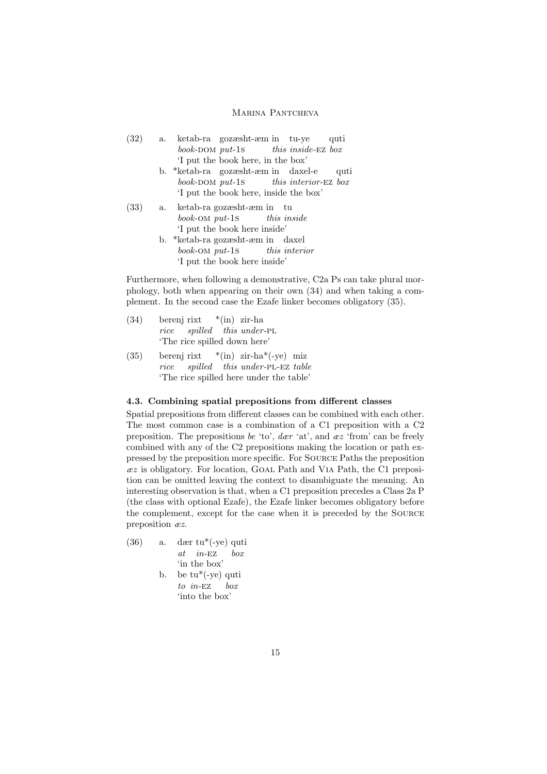- (32) a. ketab-ra gozæsht-æm in tu-ye book-DOM put-1s this inside-ez box quti 'I put the book here, in the box'
	- b. \*ketab-ra gozæsht-æm in daxel-e book-DOM put-1s this interior-ez box quti 'I put the book here, inside the box'
- (33) a. ketab-ra gozæsht-æm in tu book-om put-1s this inside 'I put the book here inside'
	- b. \*ketab-ra gozæsht-æm in daxel book-om put-1s this interior 'I put the book here inside'

Furthermore, when following a demonstrative, C2a Ps can take plural morphology, both when appearing on their own (34) and when taking a complement. In the second case the Ezafe linker becomes obligatory (35).

- (34) berenj rixt rice spilled this under-PL \*(in) zir-ha 'The rice spilled down here'
- (35) berenj rixt rice spilled this under-PL-EZ table \*(in) zir-ha\*(-ye) miz 'The rice spilled here under the table'

# 4.3. Combining spatial prepositions from different classes

Spatial prepositions from different classes can be combined with each other. The most common case is a combination of a C1 preposition with a C2 preposition. The prepositions be 'to',  $d\alpha r$  'at', and  $\alpha z$  'from' can be freely combined with any of the C2 prepositions making the location or path expressed by the preposition more specific. For Source Paths the preposition  $ez$  is obligatory. For location, GOAL Path and VIA Path, the C1 preposition can be omitted leaving the context to disambiguate the meaning. An interesting observation is that, when a C1 preposition precedes a Class 2a P (the class with optional Ezafe), the Ezafe linker becomes obligatory before the complement, except for the case when it is preceded by the Source preposition æz.

- (36) a. dær tu\*(-ye) quti at in-ez box 'in the box' b. be tu\*(-ye) quti
	- to in-EZ box 'into the box'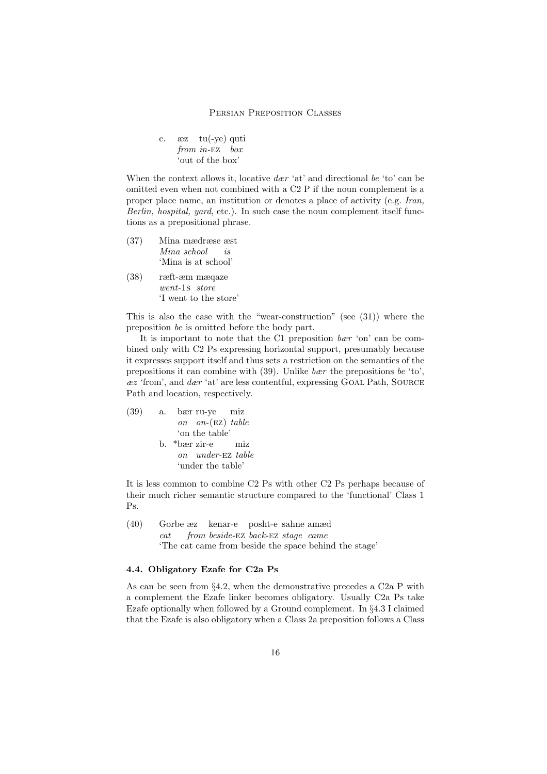c. from in-EZ box tu(-ye) quti 'out of the box'

When the context allows it, locative  $der 'at'$  and directional be 'to' can be omitted even when not combined with a C2 P if the noun complement is a proper place name, an institution or denotes a place of activity (e.g. Iran, Berlin, hospital, yard, etc.). In such case the noun complement itself functions as a prepositional phrase.

- (37) Mina mædræse æst Mina school  $i<sub>s</sub>$ 'Mina is at school'
- (38) ræft-æm mæqaze went-1s store 'I went to the store'

This is also the case with the "wear-construction" (see (31)) where the preposition be is omitted before the body part.

It is important to note that the C1 preposition  $bar'$  on' can be combined only with C2 Ps expressing horizontal support, presumably because it expresses support itself and thus sets a restriction on the semantics of the prepositions it can combine with  $(39)$ . Unlike *bær* the prepositions *be* 'to'.  $ex$  'from', and  $der$  'at' are less contentful, expressing GOAL Path, SOURCE Path and location, respectively.

(39) a. bær on ru-ye on-(ez) miz table 'on the table' b. \*bær on zir-e under-ez miz table 'under the table'

It is less common to combine C2 Ps with other C2 Ps perhaps because of their much richer semantic structure compared to the 'functional' Class 1 Ps.

(40) Gorbe æz kenar-e posht-e sahne amæd cat from beside-EZ back-EZ stage came 'The cat came from beside the space behind the stage'

# 4.4. Obligatory Ezafe for C2a Ps

As can be seen from §4.2, when the demonstrative precedes a C2a P with a complement the Ezafe linker becomes obligatory. Usually C2a Ps take Ezafe optionally when followed by a Ground complement. In §4.3 I claimed that the Ezafe is also obligatory when a Class 2a preposition follows a Class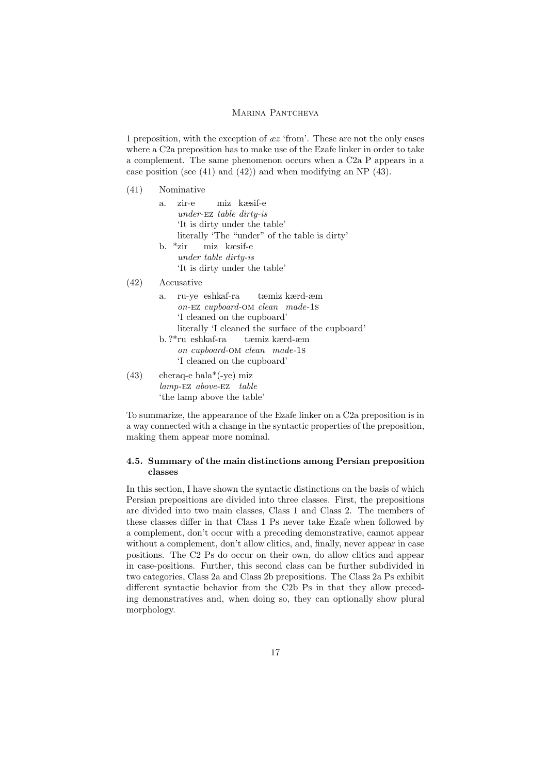1 preposition, with the exception of  $\mathscr{E}z$  'from'. These are not the only cases where a C2a preposition has to make use of the Ezafe linker in order to take a complement. The same phenomenon occurs when a C2a P appears in a case position (see (41) and (42)) and when modifying an NP (43).

| (41) | Nominative                                                                                                                                                 |
|------|------------------------------------------------------------------------------------------------------------------------------------------------------------|
|      | zir-e miz kæsif-e<br>a.<br>under- $EZ$ table dirty-is<br>'It is dirty under the table'<br>literally 'The "under" of the table is dirty'                    |
|      | b. *zir - miz kæsif-e<br>under table dirty-is<br>'It is dirty under the table'                                                                             |
| (42) | Accusative                                                                                                                                                 |
|      | ru-ye eshkaf-ra tæmiz kærd-æm<br>a.<br>on-EZ cupboard-OM clean made-1s<br>'I cleaned on the cupboard'<br>literally 'I cleaned the surface of the cupboard' |
|      | b.?*ru eshkaf-ra tæmiz kærd-æm<br>on cupboard-OM clean made-1s<br>'I cleaned on the cupboard'                                                              |
| (43) | $\text{cheraq-e}$ bala <sup>*</sup> (-ye) miz<br>$lamp$ -EZ above-EZ table<br>the lamp above the table'                                                    |

To summarize, the appearance of the Ezafe linker on a C2a preposition is in a way connected with a change in the syntactic properties of the preposition, making them appear more nominal.

# 4.5. Summary of the main distinctions among Persian preposition classes

In this section, I have shown the syntactic distinctions on the basis of which Persian prepositions are divided into three classes. First, the prepositions are divided into two main classes, Class 1 and Class 2. The members of these classes differ in that Class 1 Ps never take Ezafe when followed by a complement, don't occur with a preceding demonstrative, cannot appear without a complement, don't allow clitics, and, finally, never appear in case positions. The C2 Ps do occur on their own, do allow clitics and appear in case-positions. Further, this second class can be further subdivided in two categories, Class 2a and Class 2b prepositions. The Class 2a Ps exhibit different syntactic behavior from the C2b Ps in that they allow preceding demonstratives and, when doing so, they can optionally show plural morphology.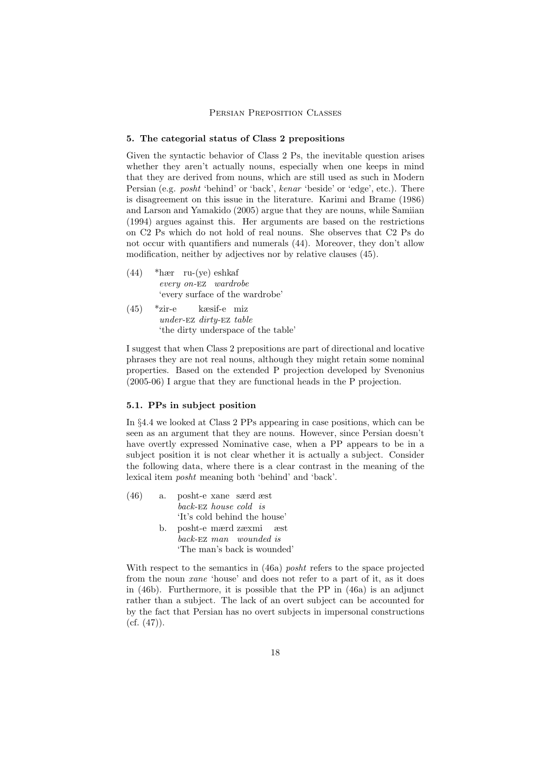#### 5. The categorial status of Class 2 prepositions

Given the syntactic behavior of Class 2 Ps, the inevitable question arises whether they aren't actually nouns, especially when one keeps in mind that they are derived from nouns, which are still used as such in Modern Persian (e.g. posht 'behind' or 'back', kenar 'beside' or 'edge', etc.). There is disagreement on this issue in the literature. Karimi and Brame (1986) and Larson and Yamakido (2005) argue that they are nouns, while Samiian (1994) argues against this. Her arguments are based on the restrictions on C2 Ps which do not hold of real nouns. She observes that C2 Ps do not occur with quantifiers and numerals (44). Moreover, they don't allow modification, neither by adjectives nor by relative clauses (45).

- (44) \*hær ru-(ye) eshkaf every on-ez wardrobe 'every surface of the wardrobe'
- $(45)$  \*zir-e under-ez dirty-ez table kæsif-e miz 'the dirty underspace of the table'

I suggest that when Class 2 prepositions are part of directional and locative phrases they are not real nouns, although they might retain some nominal properties. Based on the extended P projection developed by Svenonius (2005-06) I argue that they are functional heads in the P projection.

# 5.1. PPs in subject position

In §4.4 we looked at Class 2 PPs appearing in case positions, which can be seen as an argument that they are nouns. However, since Persian doesn't have overtly expressed Nominative case, when a PP appears to be in a subject position it is not clear whether it is actually a subject. Consider the following data, where there is a clear contrast in the meaning of the lexical item posht meaning both 'behind' and 'back'.

(46) a. posht-e xane særd æst back-ez house cold is 'It's cold behind the house' b. posht-e mærd zæxmi æst back-ez man wounded is 'The man's back is wounded'

With respect to the semantics in (46a) posht refers to the space projected from the noun xane 'house' and does not refer to a part of it, as it does in  $(46b)$ . Furthermore, it is possible that the PP in  $(46a)$  is an adjunct rather than a subject. The lack of an overt subject can be accounted for by the fact that Persian has no overt subjects in impersonal constructions  $(cf. (47)).$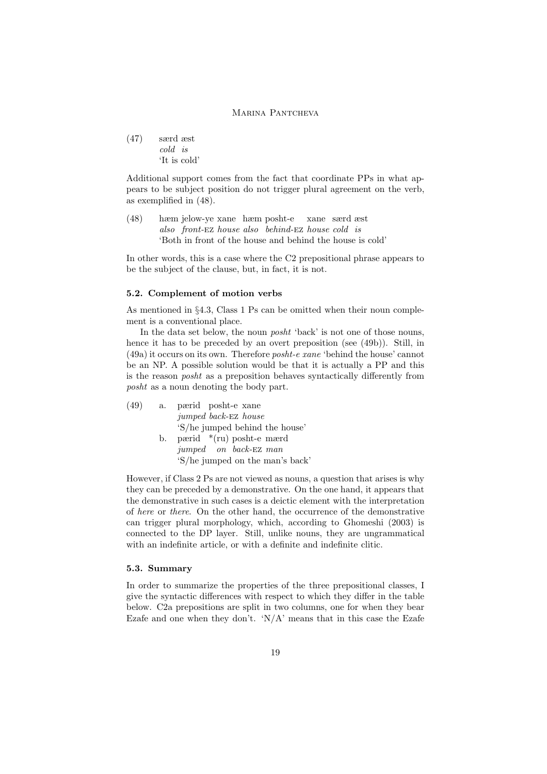(47) særd æst cold is 'It is cold'

Additional support comes from the fact that coordinate PPs in what appears to be subject position do not trigger plural agreement on the verb, as exemplified in (48).

(48) hæm jelow-ye xane hæm posht-e also front-ez house also behind-ez house cold is xane særd æst 'Both in front of the house and behind the house is cold'

In other words, this is a case where the C2 prepositional phrase appears to be the subject of the clause, but, in fact, it is not.

#### 5.2. Complement of motion verbs

As mentioned in §4.3, Class 1 Ps can be omitted when their noun complement is a conventional place.

In the data set below, the noun *posht* 'back' is not one of those nouns, hence it has to be preceded by an overt preposition (see (49b)). Still, in (49a) it occurs on its own. Therefore posht-e xane 'behind the house' cannot be an NP. A possible solution would be that it is actually a PP and this is the reason posht as a preposition behaves syntactically differently from posht as a noun denoting the body part.

| (49) | а. | pærid posht-e xane              |  |  |  |
|------|----|---------------------------------|--|--|--|
|      |    | <i>jumped back-EZ house</i>     |  |  |  |
|      |    | 'S/he jumped behind the house'  |  |  |  |
|      | b. | pærid $*(ru)$ posht-e mærd      |  |  |  |
|      |    | jumped on back-EZ man           |  |  |  |
|      |    | 'S/he jumped on the man's back' |  |  |  |

However, if Class 2 Ps are not viewed as nouns, a question that arises is why they can be preceded by a demonstrative. On the one hand, it appears that the demonstrative in such cases is a deictic element with the interpretation of here or there. On the other hand, the occurrence of the demonstrative can trigger plural morphology, which, according to Ghomeshi (2003) is connected to the DP layer. Still, unlike nouns, they are ungrammatical with an indefinite article, or with a definite and indefinite clitic.

# 5.3. Summary

In order to summarize the properties of the three prepositional classes, I give the syntactic differences with respect to which they differ in the table below. C2a prepositions are split in two columns, one for when they bear Ezafe and one when they don't.  $N/A$ ' means that in this case the Ezafe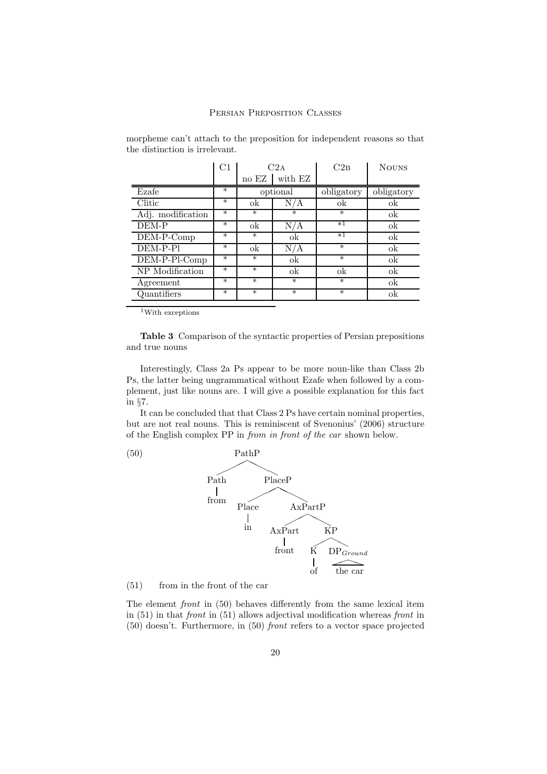|                   | C1     | C2A      |         | C2B        | <b>NOUNS</b> |
|-------------------|--------|----------|---------|------------|--------------|
|                   |        | no EZ    | with EZ |            |              |
| Ezafe             | $\ast$ | optional |         | obligatory | obligatory   |
| Clitic            | $\ast$ | ok       |         | ok         | ok           |
| Adj. modification | $\ast$ | $\ast$   | $\ast$  | $\ast$     | ok           |
| DEM-P             | $\ast$ | ok       | A       | $*1$       | ok           |
| DEM-P-Comp        | $\ast$ | $\ast$   | ok      | $*1$       | ok           |
| DEM-P-Pl          | $\ast$ | ok       | N/A     | $\ast$     | ok           |
| DEM-P-Pl-Comp     | $\ast$ | $\ast$   | ok      | $\ast$     | ok           |
| NP Modification   | $\ast$ | $\ast$   | ok      | ok         | ok           |
| Agreement         | $\ast$ | $\ast$   | $\ast$  | $\ast$     | ok           |
| Quantifiers       | $\ast$ | $\ast$   | $\ast$  | $\ast$     | ok           |

morpheme can't attach to the preposition for independent reasons so that the distinction is irrelevant.

<sup>1</sup>With exceptions

Table 3 Comparison of the syntactic properties of Persian prepositions and true nouns

Interestingly, Class 2a Ps appear to be more noun-like than Class 2b Ps, the latter being ungrammatical without Ezafe when followed by a complement, just like nouns are. I will give a possible explanation for this fact in §7.

It can be concluded that that Class 2 Ps have certain nominal properties, but are not real nouns. This is reminiscent of Svenonius' (2006) structure of the English complex PP in from in front of the car shown below.



(51) from in the front of the car

The element front in (50) behaves differently from the same lexical item in (51) in that front in (51) allows adjectival modification whereas front in (50) doesn't. Furthermore, in (50) front refers to a vector space projected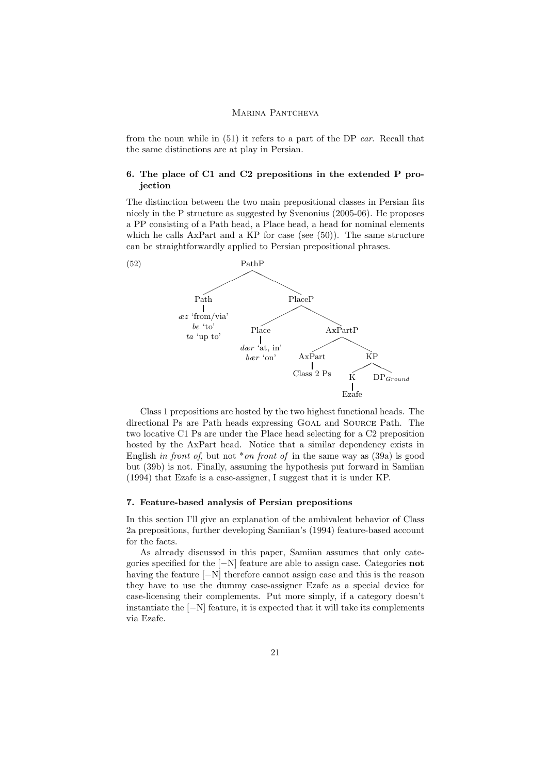from the noun while in (51) it refers to a part of the DP car. Recall that the same distinctions are at play in Persian.

# 6. The place of C1 and C2 prepositions in the extended P projection

The distinction between the two main prepositional classes in Persian fits nicely in the P structure as suggested by Svenonius (2005-06). He proposes a PP consisting of a Path head, a Place head, a head for nominal elements which he calls  $AxPart$  and a KP for case (see (50)). The same structure can be straightforwardly applied to Persian prepositional phrases.



Class 1 prepositions are hosted by the two highest functional heads. The directional Ps are Path heads expressing Goal and Source Path. The two locative C1 Ps are under the Place head selecting for a C2 preposition hosted by the AxPart head. Notice that a similar dependency exists in English in front of, but not \*on front of in the same way as  $(39a)$  is good but (39b) is not. Finally, assuming the hypothesis put forward in Samiian (1994) that Ezafe is a case-assigner, I suggest that it is under KP.

### 7. Feature-based analysis of Persian prepositions

In this section I'll give an explanation of the ambivalent behavior of Class 2a prepositions, further developing Samiian's (1994) feature-based account for the facts.

As already discussed in this paper, Samiian assumes that only categories specified for the [−N] feature are able to assign case. Categories not having the feature [−N] therefore cannot assign case and this is the reason they have to use the dummy case-assigner Ezafe as a special device for case-licensing their complements. Put more simply, if a category doesn't instantiate the [−N] feature, it is expected that it will take its complements via Ezafe.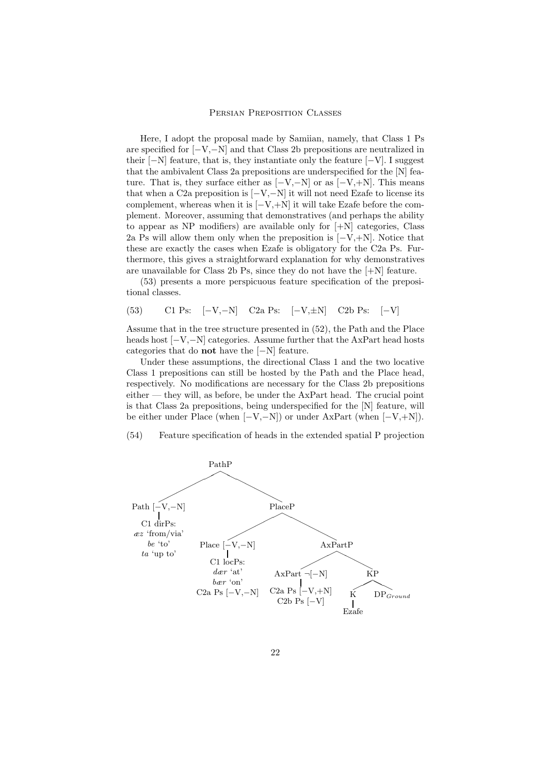Here, I adopt the proposal made by Samiian, namely, that Class 1 Ps are specified for [−V,−N] and that Class 2b prepositions are neutralized in their  $[-N]$  feature, that is, they instantiate only the feature  $[-V]$ . I suggest that the ambivalent Class 2a prepositions are underspecified for the [N] feature. That is, they surface either as  $[-V,-N]$  or as  $[-V,+N]$ . This means that when a C2a preposition is  $[-V, -N]$  it will not need Ezafe to license its complement, whereas when it is  $[-V, +N]$  it will take Ezafe before the complement. Moreover, assuming that demonstratives (and perhaps the ability to appear as  $NP$  modifiers) are available only for  $[+N]$  categories, Class 2a Ps will allow them only when the preposition is  $[-V, +N]$ . Notice that these are exactly the cases when Ezafe is obligatory for the C2a Ps. Furthermore, this gives a straightforward explanation for why demonstratives are unavailable for Class 2b Ps, since they do not have the  $[+N]$  feature.

(53) presents a more perspicuous feature specification of the prepositional classes.

(53) C1 Ps: [−V,−N] C2a Ps: [−V,±N] C2b Ps: [−V]

Assume that in the tree structure presented in (52), the Path and the Place heads host  $[-V,-N]$  categories. Assume further that the AxPart head hosts categories that do not have the [−N] feature.

Under these assumptions, the directional Class 1 and the two locative Class 1 prepositions can still be hosted by the Path and the Place head, respectively. No modifications are necessary for the Class 2b prepositions  $e$ ither  $-$  they will, as before, be under the AxPart head. The crucial point is that Class 2a prepositions, being underspecified for the [N] feature, will be either under Place (when [−V,−N]) or under AxPart (when [−V,+N]).

(54) Feature specification of heads in the extended spatial P projection



22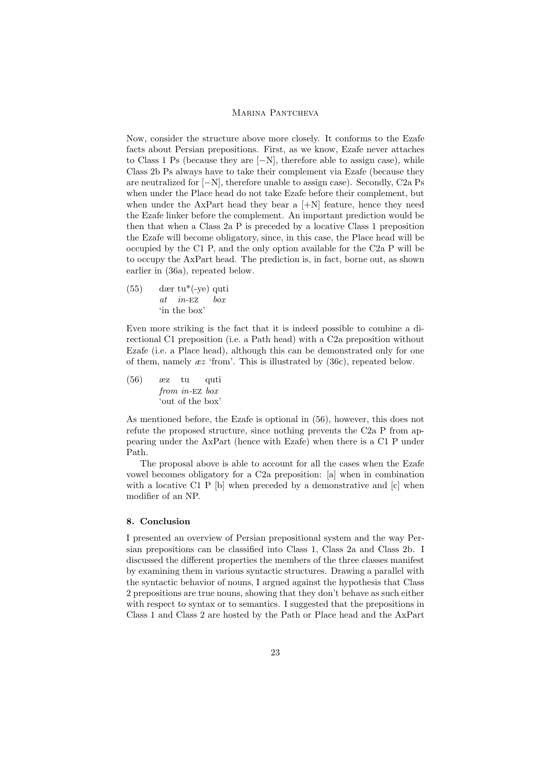Now, consider the structure above more closely. It conforms to the Ezafe facts about Persian prepositions. First, as we know, Ezafe never attaches to Class 1 Ps (because they are [−N], therefore able to assign case), while Class 2b Ps always have to take their complement via Ezafe (because they are neutralized for [−N], therefore unable to assign case). Secondly, C2a Ps when under the Place head do not take Ezafe before their complement, but when under the AxPart head they bear a  $[+N]$  feature, hence they need the Ezafe linker before the complement. An important prediction would be then that when a Class 2a P is preceded by a locative Class 1 preposition the Ezafe will become obligatory, since, in this case, the Place head will be occupied by the C1 P, and the only option available for the C2a P will be to occupy the AxPart head. The prediction is, in fact, borne out, as shown earlier in (36a), repeated below.

(55) dær tu\*(-ye) quti at in-ez box 'in the box'

Even more striking is the fact that it is indeed possible to combine a directional C1 preposition (i.e. a Path head) with a C2a preposition without Ezafe (i.e. a Place head), although this can be demonstrated only for one of them, namely  $\alpha z$  'from'. This is illustrated by (36c), repeated below.

 $(56)$ from in-Ez box tu quti 'out of the box'

As mentioned before, the Ezafe is optional in (56), however, this does not refute the proposed structure, since nothing prevents the C2a P from appearing under the AxPart (hence with Ezafe) when there is a C1 P under Path.

The proposal above is able to account for all the cases when the Ezafe vowel becomes obligatory for a C2a preposition: [a] when in combination with a locative C1 P [b] when preceded by a demonstrative and [c] when modifier of an NP.

# 8. Conclusion

I presented an overview of Persian prepositional system and the way Persian prepositions can be classified into Class 1, Class 2a and Class 2b. I discussed the different properties the members of the three classes manifest by examining them in various syntactic structures. Drawing a parallel with the syntactic behavior of nouns, I argued against the hypothesis that Class 2 prepositions are true nouns, showing that they don't behave as such either with respect to syntax or to semantics. I suggested that the prepositions in Class 1 and Class 2 are hosted by the Path or Place head and the AxPart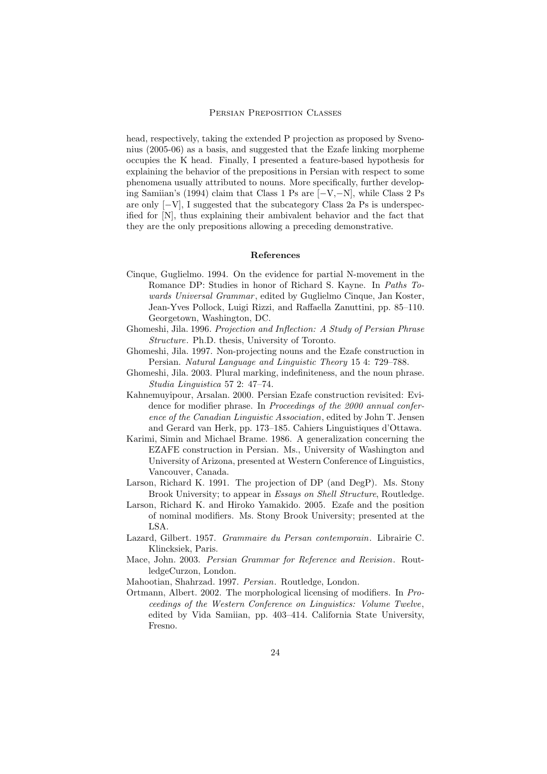head, respectively, taking the extended P projection as proposed by Svenonius (2005-06) as a basis, and suggested that the Ezafe linking morpheme occupies the K head. Finally, I presented a feature-based hypothesis for explaining the behavior of the prepositions in Persian with respect to some phenomena usually attributed to nouns. More specifically, further developing Samiian's (1994) claim that Class 1 Ps are [−V,−N], while Class 2 Ps are only  $[-V]$ , I suggested that the subcategory Class 2a Ps is underspecified for [N], thus explaining their ambivalent behavior and the fact that they are the only prepositions allowing a preceding demonstrative.

# References

- Cinque, Guglielmo. 1994. On the evidence for partial N-movement in the Romance DP: Studies in honor of Richard S. Kayne. In Paths Towards Universal Grammar, edited by Guglielmo Cinque, Jan Koster, Jean-Yves Pollock, Luigi Rizzi, and Raffaella Zanuttini, pp. 85–110. Georgetown, Washington, DC.
- Ghomeshi, Jila. 1996. Projection and Inflection: A Study of Persian Phrase Structure. Ph.D. thesis, University of Toronto.
- Ghomeshi, Jila. 1997. Non-projecting nouns and the Ezafe construction in Persian. Natural Language and Linguistic Theory 15 4: 729–788.
- Ghomeshi, Jila. 2003. Plural marking, indefiniteness, and the noun phrase. Studia Linguistica 57 2: 47–74.
- Kahnemuyipour, Arsalan. 2000. Persian Ezafe construction revisited: Evidence for modifier phrase. In Proceedings of the 2000 annual conference of the Canadian Linguistic Association, edited by John T. Jensen and Gerard van Herk, pp. 173–185. Cahiers Linguistiques d'Ottawa.
- Karimi, Simin and Michael Brame. 1986. A generalization concerning the EZAFE construction in Persian. Ms., University of Washington and University of Arizona, presented at Western Conference of Linguistics, Vancouver, Canada.
- Larson, Richard K. 1991. The projection of DP (and DegP). Ms. Stony Brook University; to appear in Essays on Shell Structure, Routledge.
- Larson, Richard K. and Hiroko Yamakido. 2005. Ezafe and the position of nominal modifiers. Ms. Stony Brook University; presented at the LSA.
- Lazard, Gilbert. 1957. Grammaire du Persan contemporain. Librairie C. Klincksiek, Paris.
- Mace, John. 2003. Persian Grammar for Reference and Revision. RoutledgeCurzon, London.
- Mahootian, Shahrzad. 1997. Persian. Routledge, London.
- Ortmann, Albert. 2002. The morphological licensing of modifiers. In Proceedings of the Western Conference on Linguistics: Volume Twelve, edited by Vida Samiian, pp. 403–414. California State University, Fresno.